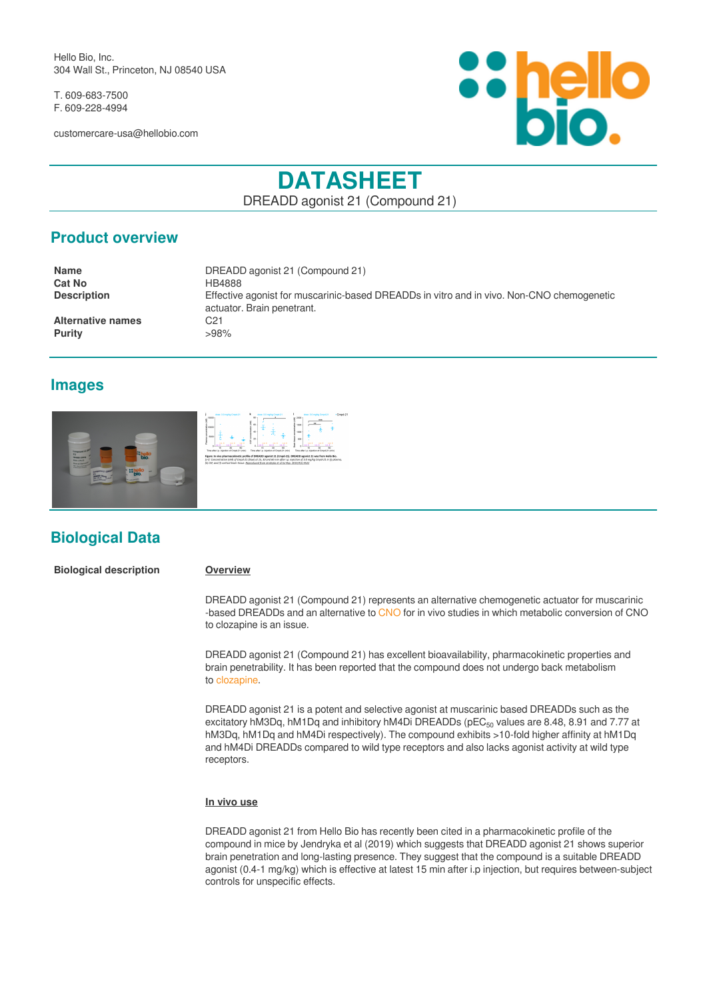Hello Bio, Inc. 304 Wall St., Princeton, NJ 08540 USA

T. 609-683-7500 F. 609-228-4994

customercare-usa@hellobio.com



# **DATASHEET**

DREADD agonist 21 (Compound 21)

# **Product overview**

| <b>Name</b>              | DREADD agonist 21 (Compound 21)                                                                                         |
|--------------------------|-------------------------------------------------------------------------------------------------------------------------|
| <b>Cat No</b>            | HB4888                                                                                                                  |
| <b>Description</b>       | Effective agonist for muscarinic-based DREADDs in vitro and in vivo. Non-CNO chemogenetic<br>actuator. Brain penetrant. |
| <b>Alternative names</b> | C21                                                                                                                     |
| <b>Purity</b>            | >98%                                                                                                                    |

# **Images**



# **Biological Data**

**Biological description Overview**

DREADD agonist 21 (Compound 21) represents an alternative chemogenetic actuator for muscarinic -based DREADDs and an alternative to [CNO](https://hellobio.com/clozapine-n-oxide-dihydrochloride.html) for in vivo studies in which metabolic conversion of CNO to clozapine is an issue.

DREADD agonist 21 (Compound 21) has excellent bioavailability, pharmacokinetic properties and brain penetrability. It has been reported that the compound does not undergo back metabolism to [clozapine](https://hellobio.com/clozapine.html).

DREADD agonist 21 is a potent and selective agonist at muscarinic based DREADDs such as the excitatory hM3Dq, hM1Dq and inhibitory hM4Di DREADDs (pEC $_{50}$  values are 8.48, 8.91 and 7.77 at hM3Dq, hM1Dq and hM4Di respectively). The compound exhibits >10-fold higher affinity at hM1Dq and hM4Di DREADDs compared to wild type receptors and also lacks agonist activity at wild type receptors.

#### **In vivo use**

DREADD agonist 21 from Hello Bio has recently been cited in a pharmacokinetic profile of the compound in mice by Jendryka et al (2019) which suggests that DREADD agonist 21 shows superior brain penetration and long-lasting presence. They suggest that the compound is a suitable DREADD agonist (0.4-1 mg/kg) which is effective at latest 15 min after i.p injection, but requires between-subject controls for unspecific effects.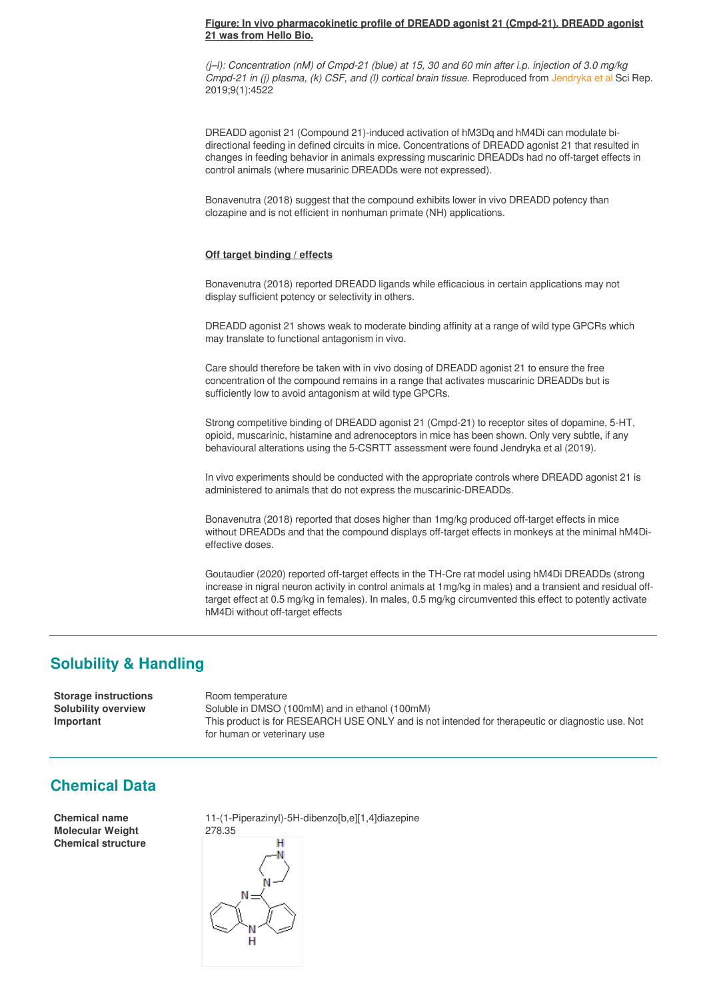#### **Figure: In vivo pharmacokinetic profile of DREADD agonist 21 (Cmpd-21). DREADD agonist 21 was from Hello Bio.**

*(j–l): Concentration (nM) of Cmpd-21 (blue) at 15, 30 and 60 min after i.p. injection of 3.0 mg/kg Cmpd-21 in (j) plasma, (k) CSF, and (l) cortical brain tissue.* Reproduced from [Jendryka et al](https://www.ncbi.nlm.nih.gov/pubmed/30872749) Sci Rep. 2019;9(1):4522

DREADD agonist 21 (Compound 21)-induced activation of hM3Dq and hM4Di can modulate bidirectional feeding in defined circuits in mice. Concentrations of DREADD agonist 21 that resulted in changes in feeding behavior in animals expressing muscarinic DREADDs had no off-target effects in control animals (where musarinic DREADDs were not expressed).

Bonavenutra (2018) suggest that the compound exhibits lower in vivo DREADD potency than clozapine and is not efficient in nonhuman primate (NH) applications.

### **Off target binding / effects**

Bonavenutra (2018) reported DREADD ligands while efficacious in certain applications may not display sufficient potency or selectivity in others.

DREADD agonist 21 shows weak to moderate binding affinity at a range of wild type GPCRs which may translate to functional antagonism in vivo.

Care should therefore be taken with in vivo dosing of DREADD agonist 21 to ensure the free concentration of the compound remains in a range that activates muscarinic DREADDs but is sufficiently low to avoid antagonism at wild type GPCRs.

Strong competitive binding of DREADD agonist 21 (Cmpd-21) to receptor sites of dopamine, 5-HT, opioid, muscarinic, histamine and adrenoceptors in mice has been shown. Only very subtle, if any behavioural alterations using the 5-CSRTT assessment were found Jendryka et al (2019).

In vivo experiments should be conducted with the appropriate controls where DREADD agonist 21 is administered to animals that do not express the muscarinic-DREADDs.

Bonavenutra (2018) reported that doses higher than 1mg/kg produced off-target effects in mice without DREADDs and that the compound displays off-target effects in monkeys at the minimal hM4Dieffective doses.

Goutaudier (2020) reported off-target effects in the TH-Cre rat model using hM4Di DREADDs (strong increase in nigral neuron activity in control animals at 1mg/kg in males) and a transient and residual offtarget effect at 0.5 mg/kg in females). In males, 0.5 mg/kg circumvented this effect to potently activate hM4Di without off-target effects

## **Solubility & Handling**

**Storage instructions** Room temperature **Solubility overview** Soluble in DMSO (100mM) and in ethanol (100mM) **Important** This product is for RESEARCH USE ONLY and is not intended for therapeutic or diagnostic use. Not for human or veterinary use

# **Chemical Data**

**Molecular Weight** 278.35 **Chemical structure**